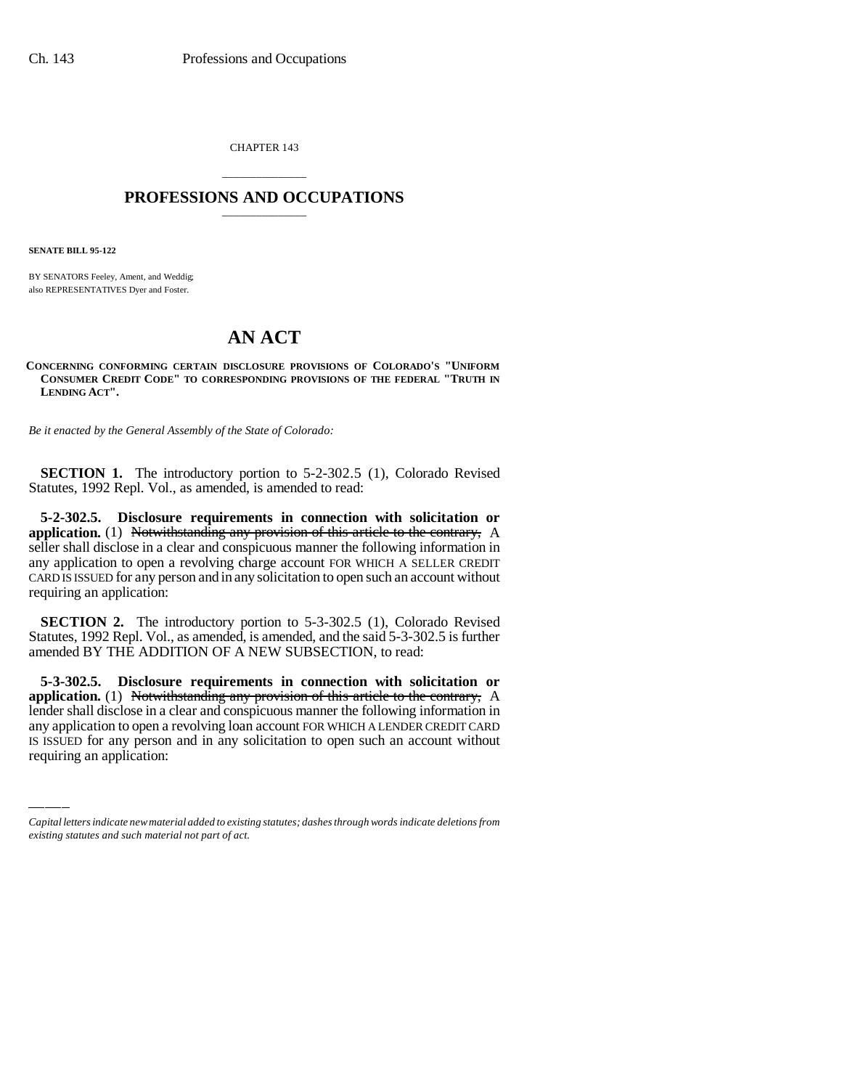CHAPTER 143

## \_\_\_\_\_\_\_\_\_\_\_\_\_\_\_ **PROFESSIONS AND OCCUPATIONS** \_\_\_\_\_\_\_\_\_\_\_\_\_\_\_

**SENATE BILL 95-122**

BY SENATORS Feeley, Ament, and Weddig; also REPRESENTATIVES Dyer and Foster.

## **AN ACT**

**CONCERNING CONFORMING CERTAIN DISCLOSURE PROVISIONS OF COLORADO'S "UNIFORM CONSUMER CREDIT CODE" TO CORRESPONDING PROVISIONS OF THE FEDERAL "TRUTH IN LENDING ACT".**

*Be it enacted by the General Assembly of the State of Colorado:*

**SECTION 1.** The introductory portion to 5-2-302.5 (1), Colorado Revised Statutes, 1992 Repl. Vol., as amended, is amended to read:

**5-2-302.5. Disclosure requirements in connection with solicitation or application.** (1) Notwithstanding any provision of this article to the contrary, A seller shall disclose in a clear and conspicuous manner the following information in any application to open a revolving charge account FOR WHICH A SELLER CREDIT CARD IS ISSUED for any person and in any solicitation to open such an account without requiring an application:

**SECTION 2.** The introductory portion to 5-3-302.5 (1), Colorado Revised Statutes, 1992 Repl. Vol., as amended, is amended, and the said 5-3-302.5 is further amended BY THE ADDITION OF A NEW SUBSECTION, to read:

**application.** (1) is otwithstanding any provision of this affilie to the contrary,  $A$  lender shall disclose in a clear and conspicuous manner the following information in **5-3-302.5. Disclosure requirements in connection with solicitation or application.** (1) Notwithstanding any provision of this article to the contrary, A any application to open a revolving loan account FOR WHICH A LENDER CREDIT CARD IS ISSUED for any person and in any solicitation to open such an account without requiring an application:

*Capital letters indicate new material added to existing statutes; dashes through words indicate deletions from existing statutes and such material not part of act.*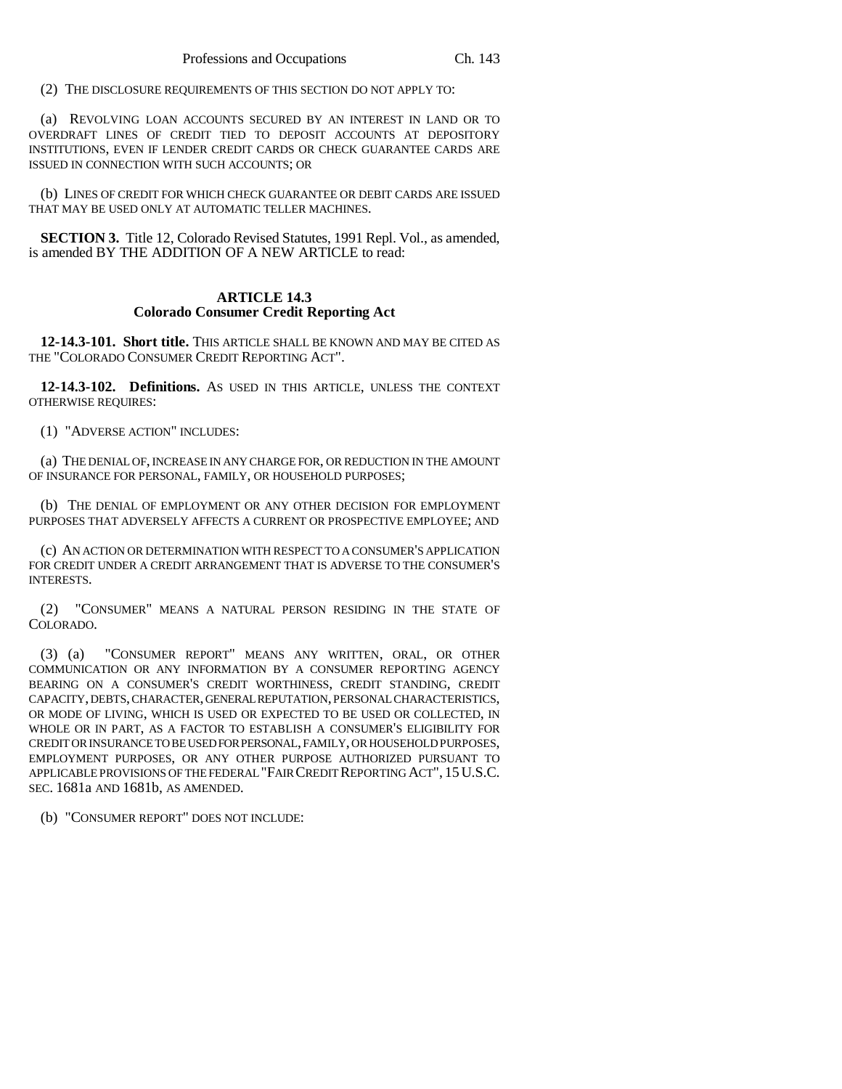(2) THE DISCLOSURE REQUIREMENTS OF THIS SECTION DO NOT APPLY TO:

(a) REVOLVING LOAN ACCOUNTS SECURED BY AN INTEREST IN LAND OR TO OVERDRAFT LINES OF CREDIT TIED TO DEPOSIT ACCOUNTS AT DEPOSITORY INSTITUTIONS, EVEN IF LENDER CREDIT CARDS OR CHECK GUARANTEE CARDS ARE ISSUED IN CONNECTION WITH SUCH ACCOUNTS; OR

(b) LINES OF CREDIT FOR WHICH CHECK GUARANTEE OR DEBIT CARDS ARE ISSUED THAT MAY BE USED ONLY AT AUTOMATIC TELLER MACHINES.

**SECTION 3.** Title 12, Colorado Revised Statutes, 1991 Repl. Vol., as amended, is amended BY THE ADDITION OF A NEW ARTICLE to read:

## **ARTICLE 14.3 Colorado Consumer Credit Reporting Act**

**12-14.3-101. Short title.** THIS ARTICLE SHALL BE KNOWN AND MAY BE CITED AS THE "COLORADO CONSUMER CREDIT REPORTING ACT".

**12-14.3-102. Definitions.** AS USED IN THIS ARTICLE, UNLESS THE CONTEXT OTHERWISE REQUIRES:

(1) "ADVERSE ACTION" INCLUDES:

(a) THE DENIAL OF, INCREASE IN ANY CHARGE FOR, OR REDUCTION IN THE AMOUNT OF INSURANCE FOR PERSONAL, FAMILY, OR HOUSEHOLD PURPOSES;

(b) THE DENIAL OF EMPLOYMENT OR ANY OTHER DECISION FOR EMPLOYMENT PURPOSES THAT ADVERSELY AFFECTS A CURRENT OR PROSPECTIVE EMPLOYEE; AND

(c) AN ACTION OR DETERMINATION WITH RESPECT TO A CONSUMER'S APPLICATION FOR CREDIT UNDER A CREDIT ARRANGEMENT THAT IS ADVERSE TO THE CONSUMER'S INTERESTS.

(2) "CONSUMER" MEANS A NATURAL PERSON RESIDING IN THE STATE OF COLORADO.

(3) (a) "CONSUMER REPORT" MEANS ANY WRITTEN, ORAL, OR OTHER COMMUNICATION OR ANY INFORMATION BY A CONSUMER REPORTING AGENCY BEARING ON A CONSUMER'S CREDIT WORTHINESS, CREDIT STANDING, CREDIT CAPACITY, DEBTS, CHARACTER, GENERAL REPUTATION, PERSONAL CHARACTERISTICS, OR MODE OF LIVING, WHICH IS USED OR EXPECTED TO BE USED OR COLLECTED, IN WHOLE OR IN PART, AS A FACTOR TO ESTABLISH A CONSUMER'S ELIGIBILITY FOR CREDIT OR INSURANCE TO BE USED FOR PERSONAL, FAMILY, OR HOUSEHOLD PURPOSES, EMPLOYMENT PURPOSES, OR ANY OTHER PURPOSE AUTHORIZED PURSUANT TO APPLICABLE PROVISIONS OF THE FEDERAL "FAIR CREDIT REPORTING ACT", 15U.S.C. SEC. 1681a AND 1681b, AS AMENDED.

(b) "CONSUMER REPORT" DOES NOT INCLUDE: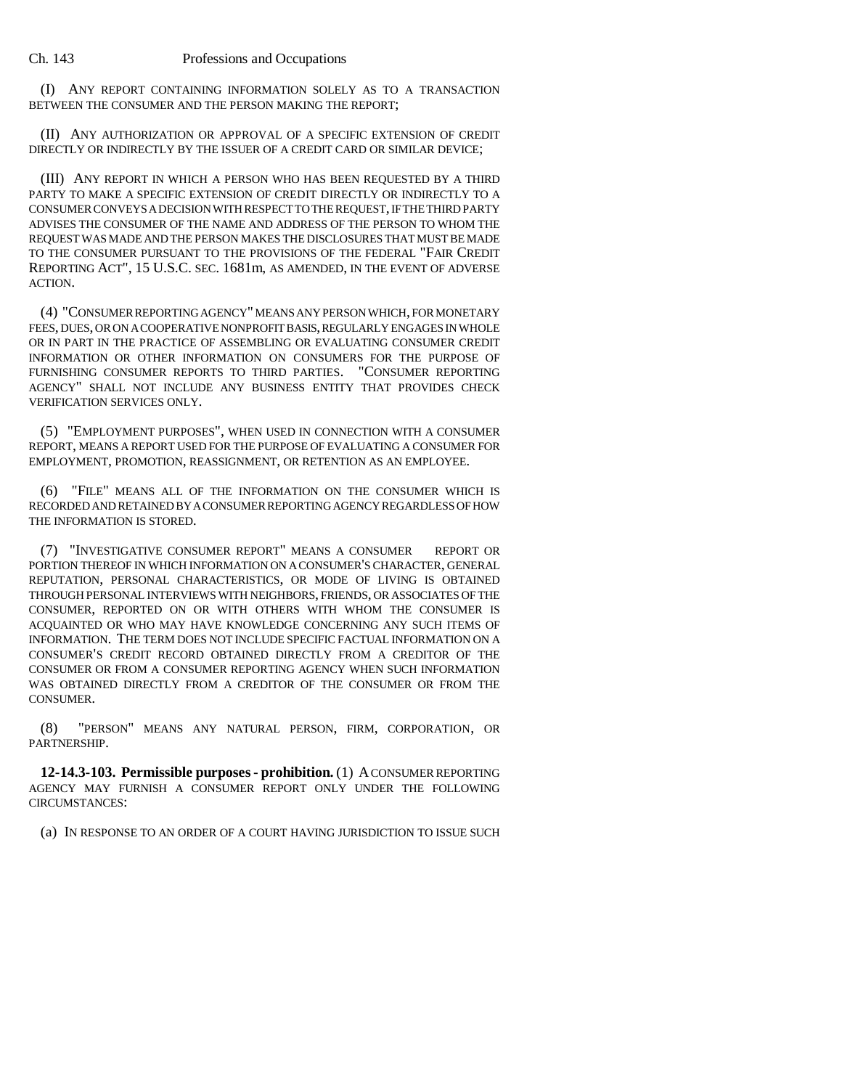(I) ANY REPORT CONTAINING INFORMATION SOLELY AS TO A TRANSACTION BETWEEN THE CONSUMER AND THE PERSON MAKING THE REPORT;

(II) ANY AUTHORIZATION OR APPROVAL OF A SPECIFIC EXTENSION OF CREDIT DIRECTLY OR INDIRECTLY BY THE ISSUER OF A CREDIT CARD OR SIMILAR DEVICE;

(III) ANY REPORT IN WHICH A PERSON WHO HAS BEEN REQUESTED BY A THIRD PARTY TO MAKE A SPECIFIC EXTENSION OF CREDIT DIRECTLY OR INDIRECTLY TO A CONSUMER CONVEYS A DECISION WITH RESPECT TO THE REQUEST, IF THE THIRD PARTY ADVISES THE CONSUMER OF THE NAME AND ADDRESS OF THE PERSON TO WHOM THE REQUEST WAS MADE AND THE PERSON MAKES THE DISCLOSURES THAT MUST BE MADE TO THE CONSUMER PURSUANT TO THE PROVISIONS OF THE FEDERAL "FAIR CREDIT REPORTING ACT", 15 U.S.C. SEC. 1681m, AS AMENDED, IN THE EVENT OF ADVERSE ACTION.

(4) "CONSUMER REPORTING AGENCY" MEANS ANY PERSON WHICH, FOR MONETARY FEES, DUES, OR ON A COOPERATIVE NONPROFIT BASIS, REGULARLY ENGAGES IN WHOLE OR IN PART IN THE PRACTICE OF ASSEMBLING OR EVALUATING CONSUMER CREDIT INFORMATION OR OTHER INFORMATION ON CONSUMERS FOR THE PURPOSE OF FURNISHING CONSUMER REPORTS TO THIRD PARTIES. "CONSUMER REPORTING AGENCY" SHALL NOT INCLUDE ANY BUSINESS ENTITY THAT PROVIDES CHECK VERIFICATION SERVICES ONLY.

(5) "EMPLOYMENT PURPOSES", WHEN USED IN CONNECTION WITH A CONSUMER REPORT, MEANS A REPORT USED FOR THE PURPOSE OF EVALUATING A CONSUMER FOR EMPLOYMENT, PROMOTION, REASSIGNMENT, OR RETENTION AS AN EMPLOYEE.

"FILE" MEANS ALL OF THE INFORMATION ON THE CONSUMER WHICH IS RECORDED AND RETAINED BY A CONSUMER REPORTING AGENCY REGARDLESS OF HOW THE INFORMATION IS STORED.

(7) "INVESTIGATIVE CONSUMER REPORT" MEANS A CONSUMER REPORT OR PORTION THEREOF IN WHICH INFORMATION ON A CONSUMER'S CHARACTER, GENERAL REPUTATION, PERSONAL CHARACTERISTICS, OR MODE OF LIVING IS OBTAINED THROUGH PERSONAL INTERVIEWS WITH NEIGHBORS, FRIENDS, OR ASSOCIATES OF THE CONSUMER, REPORTED ON OR WITH OTHERS WITH WHOM THE CONSUMER IS ACQUAINTED OR WHO MAY HAVE KNOWLEDGE CONCERNING ANY SUCH ITEMS OF INFORMATION. THE TERM DOES NOT INCLUDE SPECIFIC FACTUAL INFORMATION ON A CONSUMER'S CREDIT RECORD OBTAINED DIRECTLY FROM A CREDITOR OF THE CONSUMER OR FROM A CONSUMER REPORTING AGENCY WHEN SUCH INFORMATION WAS OBTAINED DIRECTLY FROM A CREDITOR OF THE CONSUMER OR FROM THE CONSUMER.

(8) "PERSON" MEANS ANY NATURAL PERSON, FIRM, CORPORATION, OR PARTNERSHIP.

**12-14.3-103. Permissible purposes - prohibition.** (1) A CONSUMER REPORTING AGENCY MAY FURNISH A CONSUMER REPORT ONLY UNDER THE FOLLOWING CIRCUMSTANCES:

(a) IN RESPONSE TO AN ORDER OF A COURT HAVING JURISDICTION TO ISSUE SUCH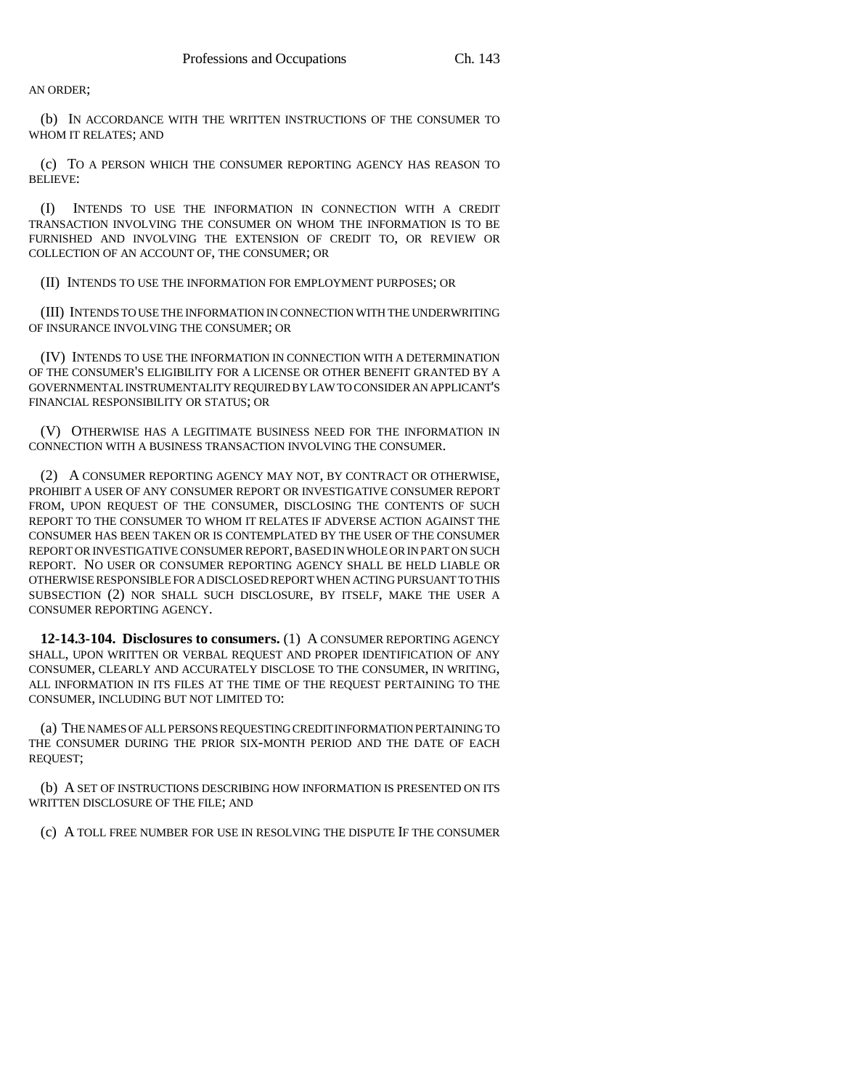AN ORDER;

(b) IN ACCORDANCE WITH THE WRITTEN INSTRUCTIONS OF THE CONSUMER TO WHOM IT RELATES; AND

(c) TO A PERSON WHICH THE CONSUMER REPORTING AGENCY HAS REASON TO BELIEVE:

(I) INTENDS TO USE THE INFORMATION IN CONNECTION WITH A CREDIT TRANSACTION INVOLVING THE CONSUMER ON WHOM THE INFORMATION IS TO BE FURNISHED AND INVOLVING THE EXTENSION OF CREDIT TO, OR REVIEW OR COLLECTION OF AN ACCOUNT OF, THE CONSUMER; OR

(II) INTENDS TO USE THE INFORMATION FOR EMPLOYMENT PURPOSES; OR

(III) INTENDS TO USE THE INFORMATION IN CONNECTION WITH THE UNDERWRITING OF INSURANCE INVOLVING THE CONSUMER; OR

(IV) INTENDS TO USE THE INFORMATION IN CONNECTION WITH A DETERMINATION OF THE CONSUMER'S ELIGIBILITY FOR A LICENSE OR OTHER BENEFIT GRANTED BY A GOVERNMENTAL INSTRUMENTALITY REQUIRED BY LAW TO CONSIDER AN APPLICANT'S FINANCIAL RESPONSIBILITY OR STATUS; OR

(V) OTHERWISE HAS A LEGITIMATE BUSINESS NEED FOR THE INFORMATION IN CONNECTION WITH A BUSINESS TRANSACTION INVOLVING THE CONSUMER.

(2) A CONSUMER REPORTING AGENCY MAY NOT, BY CONTRACT OR OTHERWISE, PROHIBIT A USER OF ANY CONSUMER REPORT OR INVESTIGATIVE CONSUMER REPORT FROM, UPON REQUEST OF THE CONSUMER, DISCLOSING THE CONTENTS OF SUCH REPORT TO THE CONSUMER TO WHOM IT RELATES IF ADVERSE ACTION AGAINST THE CONSUMER HAS BEEN TAKEN OR IS CONTEMPLATED BY THE USER OF THE CONSUMER REPORT OR INVESTIGATIVE CONSUMER REPORT, BASED IN WHOLE OR IN PART ON SUCH REPORT. NO USER OR CONSUMER REPORTING AGENCY SHALL BE HELD LIABLE OR OTHERWISE RESPONSIBLE FOR A DISCLOSED REPORT WHEN ACTING PURSUANT TO THIS SUBSECTION (2) NOR SHALL SUCH DISCLOSURE, BY ITSELF, MAKE THE USER A CONSUMER REPORTING AGENCY.

**12-14.3-104. Disclosures to consumers.** (1) A CONSUMER REPORTING AGENCY SHALL, UPON WRITTEN OR VERBAL REQUEST AND PROPER IDENTIFICATION OF ANY CONSUMER, CLEARLY AND ACCURATELY DISCLOSE TO THE CONSUMER, IN WRITING, ALL INFORMATION IN ITS FILES AT THE TIME OF THE REQUEST PERTAINING TO THE CONSUMER, INCLUDING BUT NOT LIMITED TO:

(a) THE NAMES OF ALL PERSONS REQUESTING CREDIT INFORMATION PERTAINING TO THE CONSUMER DURING THE PRIOR SIX-MONTH PERIOD AND THE DATE OF EACH REQUEST;

(b) A SET OF INSTRUCTIONS DESCRIBING HOW INFORMATION IS PRESENTED ON ITS WRITTEN DISCLOSURE OF THE FILE; AND

(c) A TOLL FREE NUMBER FOR USE IN RESOLVING THE DISPUTE IF THE CONSUMER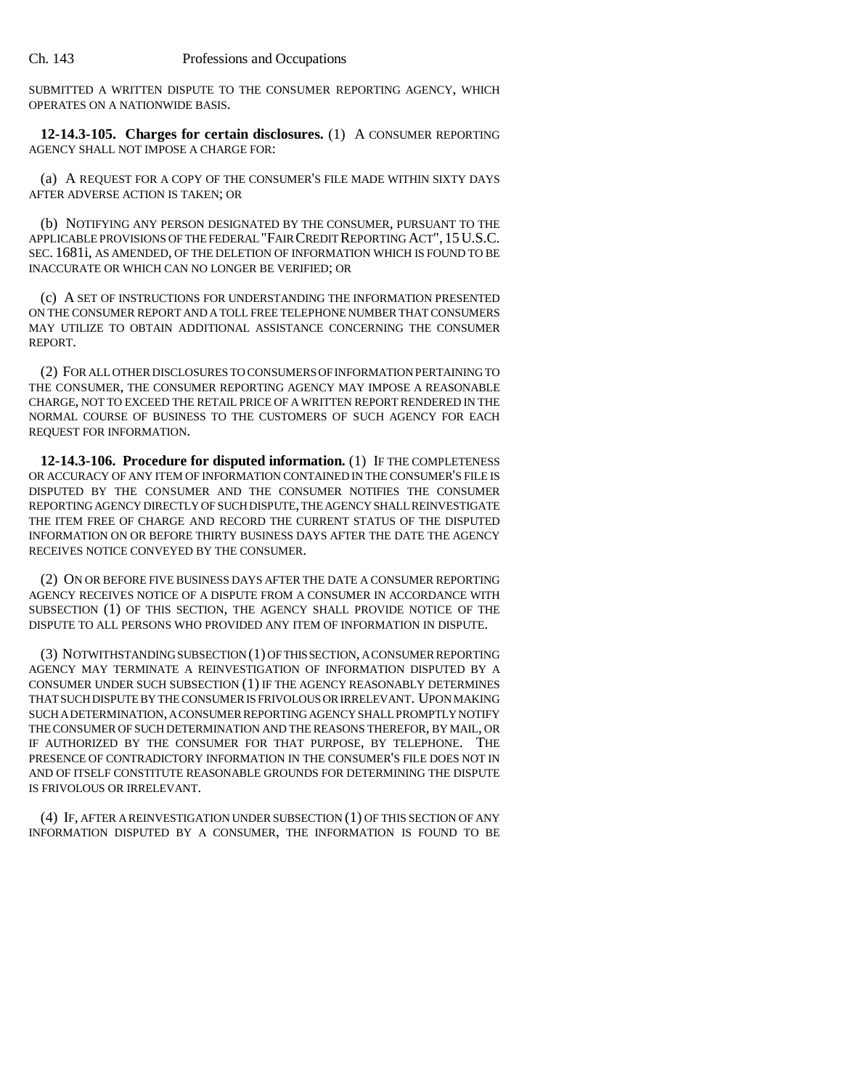SUBMITTED A WRITTEN DISPUTE TO THE CONSUMER REPORTING AGENCY, WHICH OPERATES ON A NATIONWIDE BASIS.

**12-14.3-105. Charges for certain disclosures.** (1) A CONSUMER REPORTING AGENCY SHALL NOT IMPOSE A CHARGE FOR:

(a) A REQUEST FOR A COPY OF THE CONSUMER'S FILE MADE WITHIN SIXTY DAYS AFTER ADVERSE ACTION IS TAKEN; OR

(b) NOTIFYING ANY PERSON DESIGNATED BY THE CONSUMER, PURSUANT TO THE APPLICABLE PROVISIONS OF THE FEDERAL "FAIR CREDIT REPORTING ACT", 15U.S.C. SEC. 1681i, AS AMENDED, OF THE DELETION OF INFORMATION WHICH IS FOUND TO BE INACCURATE OR WHICH CAN NO LONGER BE VERIFIED; OR

(c) A SET OF INSTRUCTIONS FOR UNDERSTANDING THE INFORMATION PRESENTED ON THE CONSUMER REPORT AND A TOLL FREE TELEPHONE NUMBER THAT CONSUMERS MAY UTILIZE TO OBTAIN ADDITIONAL ASSISTANCE CONCERNING THE CONSUMER REPORT.

(2) FOR ALL OTHER DISCLOSURES TO CONSUMERS OF INFORMATION PERTAINING TO THE CONSUMER, THE CONSUMER REPORTING AGENCY MAY IMPOSE A REASONABLE CHARGE, NOT TO EXCEED THE RETAIL PRICE OF A WRITTEN REPORT RENDERED IN THE NORMAL COURSE OF BUSINESS TO THE CUSTOMERS OF SUCH AGENCY FOR EACH REQUEST FOR INFORMATION.

**12-14.3-106. Procedure for disputed information.** (1) IF THE COMPLETENESS OR ACCURACY OF ANY ITEM OF INFORMATION CONTAINED IN THE CONSUMER'S FILE IS DISPUTED BY THE CONSUMER AND THE CONSUMER NOTIFIES THE CONSUMER REPORTING AGENCY DIRECTLY OF SUCH DISPUTE, THE AGENCY SHALL REINVESTIGATE THE ITEM FREE OF CHARGE AND RECORD THE CURRENT STATUS OF THE DISPUTED INFORMATION ON OR BEFORE THIRTY BUSINESS DAYS AFTER THE DATE THE AGENCY RECEIVES NOTICE CONVEYED BY THE CONSUMER.

(2) ON OR BEFORE FIVE BUSINESS DAYS AFTER THE DATE A CONSUMER REPORTING AGENCY RECEIVES NOTICE OF A DISPUTE FROM A CONSUMER IN ACCORDANCE WITH SUBSECTION (1) OF THIS SECTION, THE AGENCY SHALL PROVIDE NOTICE OF THE DISPUTE TO ALL PERSONS WHO PROVIDED ANY ITEM OF INFORMATION IN DISPUTE.

(3) NOTWITHSTANDING SUBSECTION (1) OF THIS SECTION, A CONSUMER REPORTING AGENCY MAY TERMINATE A REINVESTIGATION OF INFORMATION DISPUTED BY A CONSUMER UNDER SUCH SUBSECTION (1) IF THE AGENCY REASONABLY DETERMINES THAT SUCH DISPUTE BY THE CONSUMER IS FRIVOLOUS OR IRRELEVANT. UPON MAKING SUCH A DETERMINATION, A CONSUMER REPORTING AGENCY SHALL PROMPTLY NOTIFY THE CONSUMER OF SUCH DETERMINATION AND THE REASONS THEREFOR, BY MAIL, OR IF AUTHORIZED BY THE CONSUMER FOR THAT PURPOSE, BY TELEPHONE. THE PRESENCE OF CONTRADICTORY INFORMATION IN THE CONSUMER'S FILE DOES NOT IN AND OF ITSELF CONSTITUTE REASONABLE GROUNDS FOR DETERMINING THE DISPUTE IS FRIVOLOUS OR IRRELEVANT.

(4) IF, AFTER A REINVESTIGATION UNDER SUBSECTION (1) OF THIS SECTION OF ANY INFORMATION DISPUTED BY A CONSUMER, THE INFORMATION IS FOUND TO BE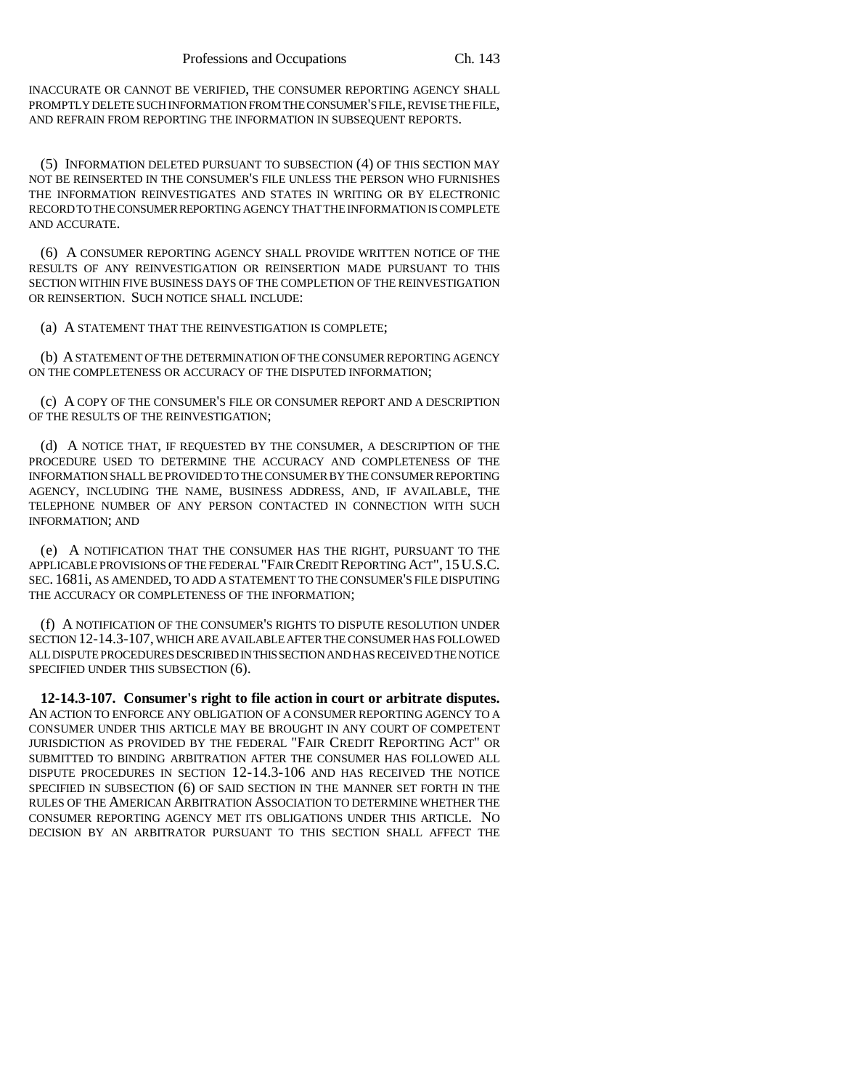INACCURATE OR CANNOT BE VERIFIED, THE CONSUMER REPORTING AGENCY SHALL PROMPTLY DELETE SUCH INFORMATION FROM THE CONSUMER'S FILE, REVISE THE FILE, AND REFRAIN FROM REPORTING THE INFORMATION IN SUBSEQUENT REPORTS.

(5) INFORMATION DELETED PURSUANT TO SUBSECTION (4) OF THIS SECTION MAY NOT BE REINSERTED IN THE CONSUMER'S FILE UNLESS THE PERSON WHO FURNISHES THE INFORMATION REINVESTIGATES AND STATES IN WRITING OR BY ELECTRONIC RECORD TO THE CONSUMER REPORTING AGENCY THAT THE INFORMATION IS COMPLETE AND ACCURATE.

(6) A CONSUMER REPORTING AGENCY SHALL PROVIDE WRITTEN NOTICE OF THE RESULTS OF ANY REINVESTIGATION OR REINSERTION MADE PURSUANT TO THIS SECTION WITHIN FIVE BUSINESS DAYS OF THE COMPLETION OF THE REINVESTIGATION OR REINSERTION. SUCH NOTICE SHALL INCLUDE:

(a) A STATEMENT THAT THE REINVESTIGATION IS COMPLETE;

(b) A STATEMENT OF THE DETERMINATION OF THE CONSUMER REPORTING AGENCY ON THE COMPLETENESS OR ACCURACY OF THE DISPUTED INFORMATION;

(c) A COPY OF THE CONSUMER'S FILE OR CONSUMER REPORT AND A DESCRIPTION OF THE RESULTS OF THE REINVESTIGATION;

(d) A NOTICE THAT, IF REQUESTED BY THE CONSUMER, A DESCRIPTION OF THE PROCEDURE USED TO DETERMINE THE ACCURACY AND COMPLETENESS OF THE INFORMATION SHALL BE PROVIDED TO THE CONSUMER BY THE CONSUMER REPORTING AGENCY, INCLUDING THE NAME, BUSINESS ADDRESS, AND, IF AVAILABLE, THE TELEPHONE NUMBER OF ANY PERSON CONTACTED IN CONNECTION WITH SUCH INFORMATION; AND

(e) A NOTIFICATION THAT THE CONSUMER HAS THE RIGHT, PURSUANT TO THE APPLICABLE PROVISIONS OF THE FEDERAL "FAIR CREDIT REPORTING ACT", 15U.S.C. SEC. 1681i, AS AMENDED, TO ADD A STATEMENT TO THE CONSUMER'S FILE DISPUTING THE ACCURACY OR COMPLETENESS OF THE INFORMATION;

(f) A NOTIFICATION OF THE CONSUMER'S RIGHTS TO DISPUTE RESOLUTION UNDER SECTION 12-14.3-107, WHICH ARE AVAILABLE AFTER THE CONSUMER HAS FOLLOWED ALL DISPUTE PROCEDURES DESCRIBED IN THIS SECTION AND HAS RECEIVED THE NOTICE SPECIFIED UNDER THIS SUBSECTION (6).

**12-14.3-107. Consumer's right to file action in court or arbitrate disputes.** AN ACTION TO ENFORCE ANY OBLIGATION OF A CONSUMER REPORTING AGENCY TO A CONSUMER UNDER THIS ARTICLE MAY BE BROUGHT IN ANY COURT OF COMPETENT JURISDICTION AS PROVIDED BY THE FEDERAL "FAIR CREDIT REPORTING ACT" OR SUBMITTED TO BINDING ARBITRATION AFTER THE CONSUMER HAS FOLLOWED ALL DISPUTE PROCEDURES IN SECTION 12-14.3-106 AND HAS RECEIVED THE NOTICE SPECIFIED IN SUBSECTION (6) OF SAID SECTION IN THE MANNER SET FORTH IN THE RULES OF THE AMERICAN ARBITRATION ASSOCIATION TO DETERMINE WHETHER THE CONSUMER REPORTING AGENCY MET ITS OBLIGATIONS UNDER THIS ARTICLE. NO DECISION BY AN ARBITRATOR PURSUANT TO THIS SECTION SHALL AFFECT THE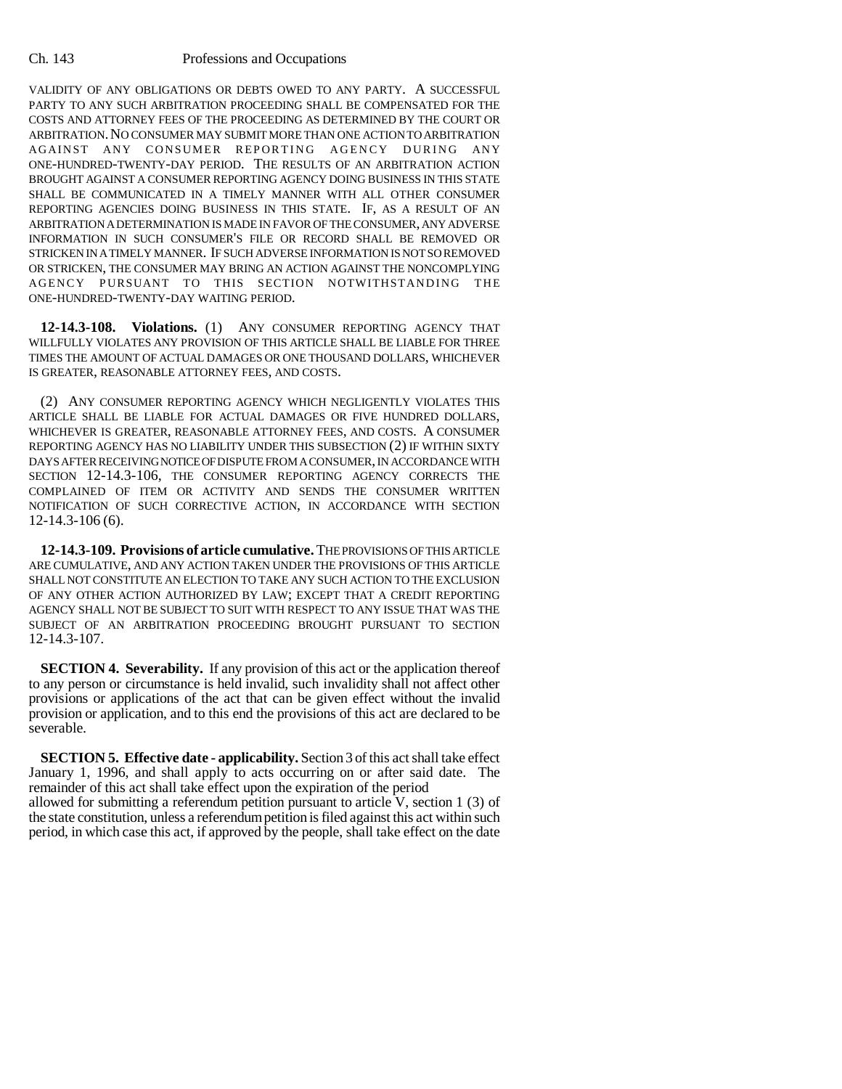VALIDITY OF ANY OBLIGATIONS OR DEBTS OWED TO ANY PARTY. A SUCCESSFUL PARTY TO ANY SUCH ARBITRATION PROCEEDING SHALL BE COMPENSATED FOR THE COSTS AND ATTORNEY FEES OF THE PROCEEDING AS DETERMINED BY THE COURT OR ARBITRATION.NO CONSUMER MAY SUBMIT MORE THAN ONE ACTION TO ARBITRATION AGAINST ANY CONSUMER REPORTING AGENCY DURING ANY ONE-HUNDRED-TWENTY-DAY PERIOD. THE RESULTS OF AN ARBITRATION ACTION BROUGHT AGAINST A CONSUMER REPORTING AGENCY DOING BUSINESS IN THIS STATE SHALL BE COMMUNICATED IN A TIMELY MANNER WITH ALL OTHER CONSUMER REPORTING AGENCIES DOING BUSINESS IN THIS STATE. IF, AS A RESULT OF AN ARBITRATION A DETERMINATION IS MADE IN FAVOR OF THE CONSUMER, ANY ADVERSE INFORMATION IN SUCH CONSUMER'S FILE OR RECORD SHALL BE REMOVED OR STRICKEN IN A TIMELY MANNER. IF SUCH ADVERSE INFORMATION IS NOT SO REMOVED OR STRICKEN, THE CONSUMER MAY BRING AN ACTION AGAINST THE NONCOMPLYING AGENCY PURSUANT TO THIS SECTION NOTWITHSTANDING THE ONE-HUNDRED-TWENTY-DAY WAITING PERIOD.

**12-14.3-108. Violations.** (1) ANY CONSUMER REPORTING AGENCY THAT WILLFULLY VIOLATES ANY PROVISION OF THIS ARTICLE SHALL BE LIABLE FOR THREE TIMES THE AMOUNT OF ACTUAL DAMAGES OR ONE THOUSAND DOLLARS, WHICHEVER IS GREATER, REASONABLE ATTORNEY FEES, AND COSTS.

(2) ANY CONSUMER REPORTING AGENCY WHICH NEGLIGENTLY VIOLATES THIS ARTICLE SHALL BE LIABLE FOR ACTUAL DAMAGES OR FIVE HUNDRED DOLLARS, WHICHEVER IS GREATER, REASONABLE ATTORNEY FEES, AND COSTS. A CONSUMER REPORTING AGENCY HAS NO LIABILITY UNDER THIS SUBSECTION (2) IF WITHIN SIXTY DAYS AFTER RECEIVING NOTICE OF DISPUTE FROM A CONSUMER, IN ACCORDANCE WITH SECTION 12-14.3-106, THE CONSUMER REPORTING AGENCY CORRECTS THE COMPLAINED OF ITEM OR ACTIVITY AND SENDS THE CONSUMER WRITTEN NOTIFICATION OF SUCH CORRECTIVE ACTION, IN ACCORDANCE WITH SECTION 12-14.3-106 (6).

**12-14.3-109. Provisions of article cumulative.** THE PROVISIONS OF THIS ARTICLE ARE CUMULATIVE, AND ANY ACTION TAKEN UNDER THE PROVISIONS OF THIS ARTICLE SHALL NOT CONSTITUTE AN ELECTION TO TAKE ANY SUCH ACTION TO THE EXCLUSION OF ANY OTHER ACTION AUTHORIZED BY LAW; EXCEPT THAT A CREDIT REPORTING AGENCY SHALL NOT BE SUBJECT TO SUIT WITH RESPECT TO ANY ISSUE THAT WAS THE SUBJECT OF AN ARBITRATION PROCEEDING BROUGHT PURSUANT TO SECTION 12-14.3-107.

**SECTION 4. Severability.** If any provision of this act or the application thereof to any person or circumstance is held invalid, such invalidity shall not affect other provisions or applications of the act that can be given effect without the invalid provision or application, and to this end the provisions of this act are declared to be severable.

**SECTION 5. Effective date - applicability.** Section 3 of this act shall take effect January 1, 1996, and shall apply to acts occurring on or after said date. The remainder of this act shall take effect upon the expiration of the period allowed for submitting a referendum petition pursuant to article  $\bar{V}$ , section 1 (3) of the state constitution, unless a referendum petition is filed against this act within such period, in which case this act, if approved by the people, shall take effect on the date